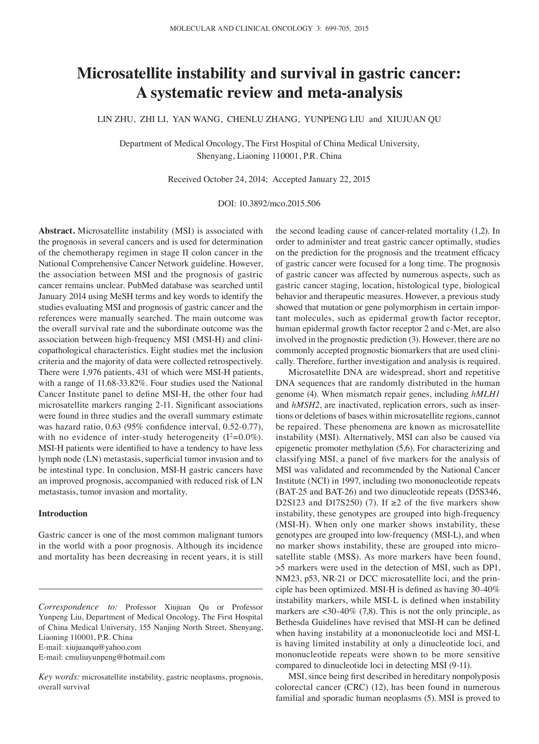# **Microsatellite instability and survival in gastric cancer: A systematic review and meta‑analysis**

LIN ZHU, ZHI LI, YAN WANG, CHENLU ZHANG, YUNPENG LIU and XIUJUAN QU

Department of Medical Oncology, The First Hospital of China Medical University, Shenyang, Liaoning 110001, P.R. China

Received October 24, 2014; Accepted January 22, 2015

DOI: 10.3892/mco.2015.506

**Abstract.** Microsatellite instability (MSI) is associated with the prognosis in several cancers and is used for determination of the chemotherapy regimen in stage II colon cancer in the National Comprehensive Cancer Network guideline. However, the association between MSI and the prognosis of gastric cancer remains unclear. PubMed database was searched until January 2014 using MeSH terms and key words to identify the studies evaluating MSI and prognosis of gastric cancer and the references were manually searched. The main outcome was the overall survival rate and the subordinate outcome was the association between high-frequency MSI (MSI-H) and clinicopathological characteristics. Eight studies met the inclusion criteria and the majority of data were collected retrospectively. There were 1,976 patients, 431 of which were MSI-H patients, with a range of 11.68-33.82%. Four studies used the National Cancer Institute panel to define MSI‑H, the other four had microsatellite markers ranging 2‑11. Significant associations were found in three studies and the overall summary estimate was hazard ratio, 0.63 (95% confidence interval, 0.52‑0.77), with no evidence of inter-study heterogeneity  $(I^2=0.0\%)$ . MSI-H patients were identified to have a tendency to have less lymph node (LN) metastasis, superficial tumor invasion and to be intestinal type. In conclusion, MSI-H gastric cancers have an improved prognosis, accompanied with reduced risk of LN metastasis, tumor invasion and mortality.

### **Introduction**

Gastric cancer is one of the most common malignant tumors in the world with a poor prognosis. Although its incidence and mortality has been decreasing in recent years, it is still

*Correspondence to:* Professor Xiujuan Qu or Professor Yunpeng Liu, Department of Medical Oncology, The First Hospital of China Medical University, 155 Nanjing North Street, Shenyang, Liaoning 110001, P.R. China E-mail: xiujuanqu@yahoo.com E-mail: cmuliuyunpeng@hotmail.com

*Key words:* microsatellite instability, gastric neoplasms, prognosis, overall survival

the second leading cause of cancer-related mortality (1,2). In order to administer and treat gastric cancer optimally, studies on the prediction for the prognosis and the treatment efficacy of gastric cancer were focused for a long time. The prognosis of gastric cancer was affected by numerous aspects, such as gastric cancer staging, location, histological type, biological behavior and therapeutic measures. However, a previous study showed that mutation or gene polymorphism in certain important molecules, such as epidermal growth factor receptor, human epidermal growth factor receptor 2 and c-Met, are also involved in the prognostic prediction (3). However, there are no commonly accepted prognostic biomarkers that are used clinically. Therefore, further investigation and analysis is required.

Microsatellite DNA are widespread, short and repetitive DNA sequences that are randomly distributed in the human genome (4). When mismatch repair genes, including *hMLH1*  and *hMSH2*, are inactivated, replication errors, such as insertions or deletions of bases within microsatellite regions, cannot be repaired. These phenomena are known as microsatellite instability (MSI). Alternatively, MSI can also be caused via epigenetic promoter methylation (5,6). For characterizing and classifying MSI, a panel of five markers for the analysis of MSI was validated and recommended by the National Cancer Institute (NCI) in 1997, including two mononucleotide repeats (BAT-25 and BAT-26) and two dinucleotide repeats (D5S346, D2S123 and D17S250) (7). If  $\geq 2$  of the five markers show instability, these genotypes are grouped into high-frequency (MSI-H). When only one marker shows instability, these genotypes are grouped into low-frequency (MSI-L), and when no marker shows instability, these are grouped into microsatellite stable (MSS). As more markers have been found, >5 markers were used in the detection of MSI, such as DP1, NM23, p53, NR-21 or DCC microsatellite loci, and the principle has been optimized. MSI‑H is defined as having 30‑40% instability markers, while MSI‑L is defined when instability markers are <30-40% (7,8). This is not the only principle, as Bethesda Guidelines have revised that MSI‑H can be defined when having instability at a mononucleotide loci and MSI-L is having limited instability at only a dinucleotide loci, and mononucleotide repeats were shown to be more sensitive compared to dinucleotide loci in detecting MSI (9-11).

MSI, since being first described in hereditary nonpolyposis colorectal cancer (CRC) (12), has been found in numerous familial and sporadic human neoplasms (5). MSI is proved to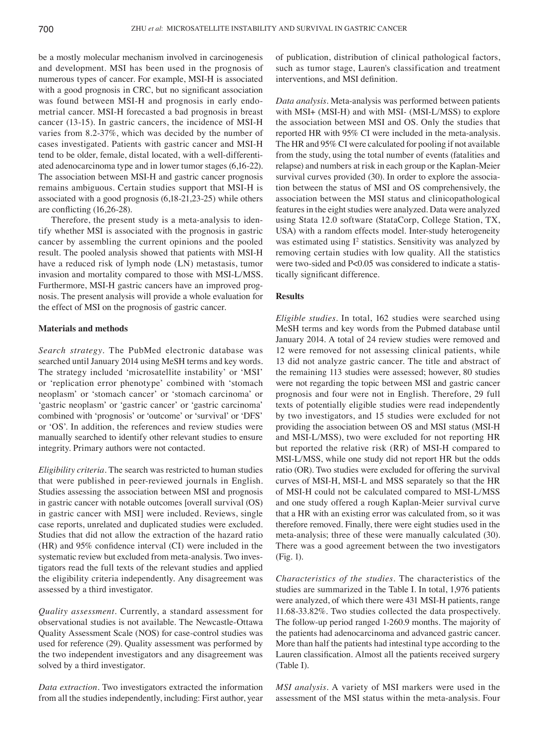be a mostly molecular mechanism involved in carcinogenesis and development. MSI has been used in the prognosis of numerous types of cancer. For example, MSI-H is associated with a good prognosis in CRC, but no significant association was found between MSI-H and prognosis in early endometrial cancer. MSI-H forecasted a bad prognosis in breast cancer (13-15). In gastric cancers, the incidence of MSI-H varies from 8.2-37%, which was decided by the number of cases investigated. Patients with gastric cancer and MSI-H tend to be older, female, distal located, with a well-differentiated adenocarcinoma type and in lower tumor stages (6,16-22). The association between MSI-H and gastric cancer prognosis remains ambiguous. Certain studies support that MSI-H is associated with a good prognosis (6,18-21,23-25) while others are conflicting (16,26‑28).

Therefore, the present study is a meta-analysis to identify whether MSI is associated with the prognosis in gastric cancer by assembling the current opinions and the pooled result. The pooled analysis showed that patients with MSI-H have a reduced risk of lymph node (LN) metastasis, tumor invasion and mortality compared to those with MSI-L/MSS. Furthermore, MSI-H gastric cancers have an improved prognosis. The present analysis will provide a whole evaluation for the effect of MSI on the prognosis of gastric cancer.

#### **Materials and methods**

*Search strategy.* The PubMed electronic database was searched until January 2014 using MeSH terms and key words. The strategy included 'microsatellite instability' or 'MSI' or 'replication error phenotype' combined with 'stomach neoplasm' or 'stomach cancer' or 'stomach carcinoma' or 'gastric neoplasm' or 'gastric cancer' or 'gastric carcinoma' combined with 'prognosis' or 'outcome' or 'survival' or 'DFS' or 'OS'. In addition, the references and review studies were manually searched to identify other relevant studies to ensure integrity. Primary authors were not contacted.

*Eligibility criteria.* The search was restricted to human studies that were published in peer-reviewed journals in English. Studies assessing the association between MSI and prognosis in gastric cancer with notable outcomes [overall survival (OS) in gastric cancer with MSI] were included. Reviews, single case reports, unrelated and duplicated studies were excluded. Studies that did not allow the extraction of the hazard ratio (HR) and 95% confidence interval (CI) were included in the systematic review but excluded from meta-analysis. Two investigators read the full texts of the relevant studies and applied the eligibility criteria independently. Any disagreement was assessed by a third investigator.

*Quality assessment.* Currently, a standard assessment for observational studies is not available. The Newcastle-Ottawa Quality Assessment Scale (NOS) for case-control studies was used for reference (29). Quality assessment was performed by the two independent investigators and any disagreement was solved by a third investigator.

*Data extraction.* Two investigators extracted the information from all the studies independently, including: First author, year of publication, distribution of clinical pathological factors, such as tumor stage, Lauren's classification and treatment interventions, and MSI definition.

*Data analysis.* Meta-analysis was performed between patients with MSI+ (MSI-H) and with MSI- (MSI-L/MSS) to explore the association between MSI and OS. Only the studies that reported HR with 95% CI were included in the meta-analysis. The HR and 95% CI were calculated for pooling if not available from the study, using the total number of events (fatalities and relapse) and numbers at risk in each group or the Kaplan-Meier survival curves provided (30). In order to explore the association between the status of MSI and OS comprehensively, the association between the MSI status and clinicopathological features in the eight studies were analyzed. Data were analyzed using Stata 12.0 software (StataCorp, College Station, TX, USA) with a random effects model. Inter-study heterogeneity was estimated using  $I^2$  statistics. Sensitivity was analyzed by removing certain studies with low quality. All the statistics were two-sided and P<0.05 was considered to indicate a statistically significant difference.

### **Results**

*Eligible studies.* In total, 162 studies were searched using MeSH terms and key words from the Pubmed database until January 2014. A total of 24 review studies were removed and 12 were removed for not assessing clinical patients, while 13 did not analyze gastric cancer. The title and abstract of the remaining 113 studies were assessed; however, 80 studies were not regarding the topic between MSI and gastric cancer prognosis and four were not in English. Therefore, 29 full texts of potentially eligible studies were read independently by two investigators, and 15 studies were excluded for not providing the association between OS and MSI status (MSI-H and MSI-L/MSS), two were excluded for not reporting HR but reported the relative risk (RR) of MSI-H compared to MSI-L/MSS, while one study did not report HR but the odds ratio (OR). Two studies were excluded for offering the survival curves of MSI-H, MSI-L and MSS separately so that the HR of MSI-H could not be calculated compared to MSI-L/MSS and one study offered a rough Kaplan-Meier survival curve that a HR with an existing error was calculated from, so it was therefore removed. Finally, there were eight studies used in the meta-analysis; three of these were manually calculated (30). There was a good agreement between the two investigators (Fig. 1).

*Characteristics of the studies.* The characteristics of the studies are summarized in the Table I. In total, 1,976 patients were analyzed, of which there were 431 MSI-H patients, range 11.68-33.82%. Two studies collected the data prospectively. The follow-up period ranged 1-260.9 months. The majority of the patients had adenocarcinoma and advanced gastric cancer. More than half the patients had intestinal type according to the Lauren classification. Almost all the patients received surgery (Table I).

*MSI analysis.* A variety of MSI markers were used in the assessment of the MSI status within the meta-analysis. Four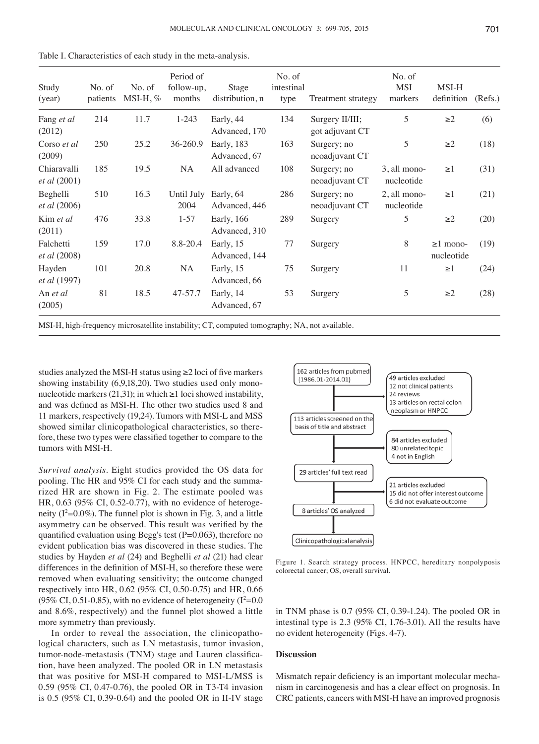|  |  |  |  |  |  |  |  |  |  |  |  | Table I. Characteristics of each study in the meta-analysis. |
|--|--|--|--|--|--|--|--|--|--|--|--|--------------------------------------------------------------|
|--|--|--|--|--|--|--|--|--|--|--|--|--------------------------------------------------------------|

| Study<br>(year)                    | No. of<br>patients | No. of<br>$MSI-H, \%$ | Period of<br>follow-up,<br>months    | Stage<br>distribution, n    | No. of<br>intestinal<br>type | Treatment strategy                 | No. of<br><b>MSI</b><br>markers | MSI-H<br>definition          | (Refs.) |
|------------------------------------|--------------------|-----------------------|--------------------------------------|-----------------------------|------------------------------|------------------------------------|---------------------------------|------------------------------|---------|
| Fang et al<br>(2012)               | 214                | 11.7                  | $1 - 243$                            | Early, 44<br>Advanced, 170  | 134                          | Surgery II/III;<br>got adjuvant CT | 5                               | $\geq$ 2                     | (6)     |
| Corso et al<br>(2009)              | 250                | 25.2                  | 36-260.9                             | Early, 183<br>Advanced, 67  | 163                          | Surgery; no<br>neoadjuvant CT      | 5                               | $\geq$ 2                     | (18)    |
| Chiaravalli<br><i>et al</i> (2001) | 185                | 19.5                  | NA                                   | All advanced                | 108                          | Surgery; no<br>neoadjuvant CT      | 3, all mono-<br>nucleotide      | $\geq$ 1                     | (31)    |
| Beghelli<br><i>et al</i> (2006)    | 510                | 16.3                  | Until July<br>2004                   | Early, 64<br>Advanced, 446  | 286                          | Surgery; no<br>neoadjuvant CT      | 2, all mono-<br>nucleotide      | $\geq$ 1                     | (21)    |
| Kim et al<br>(2011)                | 476                | 33.8                  | $1 - 57$                             | Early, 166<br>Advanced, 310 | 289                          | Surgery                            | 5                               | $\geq$ 2                     | (20)    |
| Falchetti<br><i>et al</i> (2008)   | 159                | 17.0                  | 8.8-20.4                             | Early, 15<br>Advanced, 144  | 77                           | Surgery                            | 8                               | $\geq$ 1 mono-<br>nucleotide | (19)    |
| Hayden<br>et al (1997)             | 101                | 20.8                  | NA                                   | Early, 15<br>Advanced, 66   | 75                           | Surgery                            | 11                              | $\geq$ 1                     | (24)    |
| An et al<br>(2005)                 | 81                 | 18.5                  | 47-57.7<br>Early, 14<br>Advanced, 67 |                             | 53                           | Surgery                            | 5                               | $\geq$ 2                     | (28)    |

MSI-H, high-frequency microsatellite instability; CT, computed tomography; NA, not available.

studies analyzed the MSI-H status using ≥2 loci of five markers showing instability (6,9,18,20). Two studies used only mononucleotide markers (21,31); in which  $\geq 1$  loci showed instability, and was defined as MSI‑H. The other two studies used 8 and 11 markers, respectively (19,24). Tumors with MSI-L and MSS showed similar clinicopathological characteristics, so therefore, these two types were classified together to compare to the tumors with MSI-H.

*Survival analysis.* Eight studies provided the OS data for pooling. The HR and 95% CI for each study and the summarized HR are shown in Fig. 2. The estimate pooled was HR, 0.63 (95% CI, 0.52-0.77), with no evidence of heterogeneity  $(I^2=0.0\%)$ . The funnel plot is shown in Fig. 3, and a little asymmetry can be observed. This result was verified by the quantified evaluation using Begg's test  $(P=0.063)$ , therefore no evident publication bias was discovered in these studies. The studies by Hayden *et al* (24) and Beghelli *et al* (21) had clear differences in the definition of MSI‑H, so therefore these were removed when evaluating sensitivity; the outcome changed respectively into HR, 0.62 (95% CI, 0.50-0.75) and HR, 0.66  $(95\% \text{ CI}, 0.51\text{-}0.85)$ , with no evidence of heterogeneity  $(I^2=0.01)$ and 8.6%, respectively) and the funnel plot showed a little more symmetry than previously.

In order to reveal the association, the clinicopathological characters, such as LN metastasis, tumor invasion, tumor-node-metastasis (TNM) stage and Lauren classification, have been analyzed. The pooled OR in LN metastasis that was positive for MSI-H compared to MSI-L/MSS is 0.59 (95% CI, 0.47-0.76), the pooled OR in T3-T4 invasion is 0.5 (95% CI, 0.39-0.64) and the pooled OR in II-IV stage



Figure 1. Search strategy process. HNPCC, hereditary nonpolyposis colorectal cancer; OS, overall survival.

in TNM phase is 0.7 (95% CI, 0.39-1.24). The pooled OR in intestinal type is 2.3 (95% CI, 1.76-3.01). All the results have no evident heterogeneity (Figs. 4-7).

## **Discussion**

Mismatch repair deficiency is an important molecular mechanism in carcinogenesis and has a clear effect on prognosis. In CRC patients, cancers with MSI-H have an improved prognosis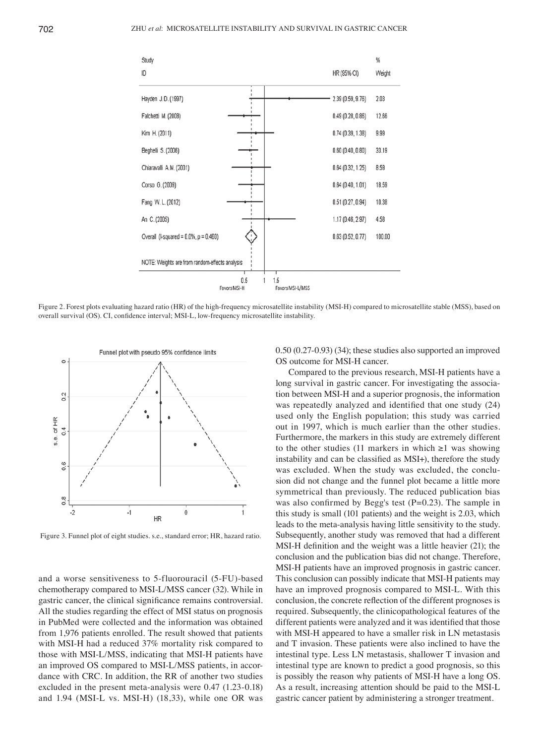

Figure 2. Forest plots evaluating hazard ratio (HR) of the high-frequency microsatellite instability (MSI-H) compared to microsatellite stable (MSS), based on overall survival (OS). CI, confidence interval; MSI-L, low-frequency microsatellite instability.



Figure 3. Funnel plot of eight studies. s.e., standard error; HR, hazard ratio.

and a worse sensitiveness to 5-fluorouracil (5-FU)-based chemotherapy compared to MSI-L/MSS cancer (32). While in gastric cancer, the clinical significance remains controversial. All the studies regarding the effect of MSI status on prognosis in PubMed were collected and the information was obtained from 1,976 patients enrolled. The result showed that patients with MSI-H had a reduced 37% mortality risk compared to those with MSI-L/MSS, indicating that MSI-H patients have an improved OS compared to MSI-L/MSS patients, in accordance with CRC. In addition, the RR of another two studies excluded in the present meta-analysis were 0.47 (1.23-0.18) and 1.94 (MSI-L vs. MSI-H) (18,33), while one OR was 0.50 (0.27-0.93) (34); these studies also supported an improved OS outcome for MSI-H cancer.

Compared to the previous research, MSI-H patients have a long survival in gastric cancer. For investigating the association between MSI-H and a superior prognosis, the information was repeatedly analyzed and identified that one study (24) used only the English population; this study was carried out in 1997, which is much earlier than the other studies. Furthermore, the markers in this study are extremely different to the other studies (11 markers in which  $\geq 1$  was showing instability and can be classified as MSI+), therefore the study was excluded. When the study was excluded, the conclusion did not change and the funnel plot became a little more symmetrical than previously. The reduced publication bias was also confirmed by Begg's test  $(P=0.23)$ . The sample in this study is small (101 patients) and the weight is 2.03, which leads to the meta-analysis having little sensitivity to the study. Subsequently, another study was removed that had a different MSI-H definition and the weight was a little heavier (21); the conclusion and the publication bias did not change. Therefore, MSI-H patients have an improved prognosis in gastric cancer. This conclusion can possibly indicate that MSI-H patients may have an improved prognosis compared to MSI-L. With this conclusion, the concrete reflection of the different prognoses is required. Subsequently, the clinicopathological features of the different patients were analyzed and it was identified that those with MSI-H appeared to have a smaller risk in LN metastasis and T invasion. These patients were also inclined to have the intestinal type. Less LN metastasis, shallower T invasion and intestinal type are known to predict a good prognosis, so this is possibly the reason why patients of MSI-H have a long OS. As a result, increasing attention should be paid to the MSI-L gastric cancer patient by administering a stronger treatment.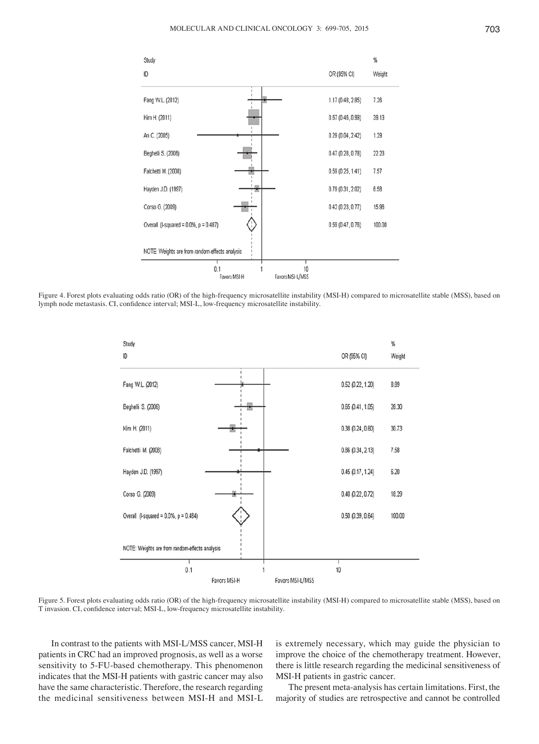

Figure 4. Forest plots evaluating odds ratio (OR) of the high-frequency microsatellite instability (MSI-H) compared to microsatellite stable (MSS), based on lymph node metastasis. CI, confidence interval; MSI‑L, low‑frequency microsatellite instability.



Figure 5. Forest plots evaluating odds ratio (OR) of the high-frequency microsatellite instability (MSI-H) compared to microsatellite stable (MSS), based on T invasion. CI, confidence interval; MSI‑L, low‑frequency microsatellite instability.

In contrast to the patients with MSI-L/MSS cancer, MSI-H patients in CRC had an improved prognosis, as well as a worse sensitivity to 5-FU-based chemotherapy. This phenomenon indicates that the MSI-H patients with gastric cancer may also have the same characteristic. Therefore, the research regarding the medicinal sensitiveness between MSI-H and MSI-L is extremely necessary, which may guide the physician to improve the choice of the chemotherapy treatment. However, there is little research regarding the medicinal sensitiveness of MSI-H patients in gastric cancer.

The present meta-analysis has certain limitations. First, the majority of studies are retrospective and cannot be controlled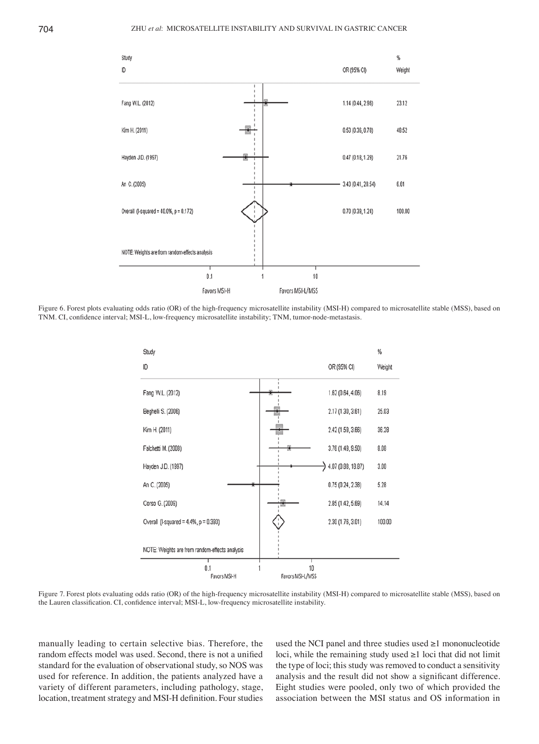

Figure 6. Forest plots evaluating odds ratio (OR) of the high-frequency microsatellite instability (MSI-H) compared to microsatellite stable (MSS), based on TNM. CI, confidence interval; MSI‑L, low‑frequency microsatellite instability; TNM, tumor-node-metastasis.



Figure 7. Forest plots evaluating odds ratio (OR) of the high-frequency microsatellite instability (MSI-H) compared to microsatellite stable (MSS), based on the Lauren classification. CI, confidence interval; MSI-L, low-frequency microsatellite instability.

manually leading to certain selective bias. Therefore, the random effects model was used. Second, there is not a unified standard for the evaluation of observational study, so NOS was used for reference. In addition, the patients analyzed have a variety of different parameters, including pathology, stage, location, treatment strategy and MSI‑H definition. Four studies

used the NCI panel and three studies used  $\geq 1$  mononucleotide loci, while the remaining study used ≥1 loci that did not limit the type of loci; this study was removed to conduct a sensitivity analysis and the result did not show a significant difference. Eight studies were pooled, only two of which provided the association between the MSI status and OS information in